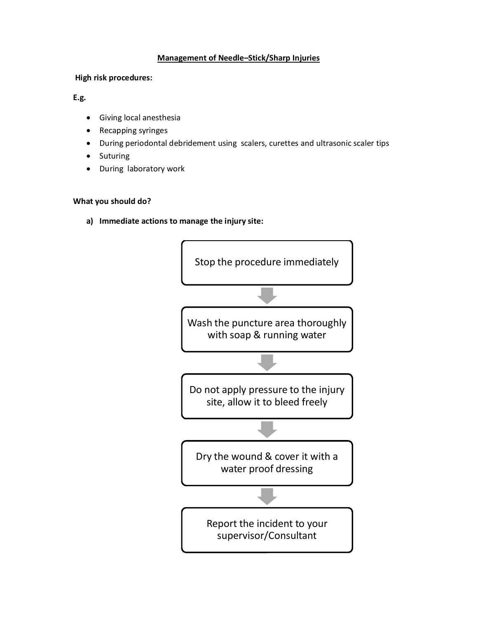## **Management of Needle–Stick/Sharp Injuries**

## **High risk procedures:**

## **E.g.**

- · Giving local anesthesia
- · Recapping syringes
- · During periodontal debridement using scalers, curettes and ultrasonic scaler tips
- **Suturing**
- During laboratory work

## **What you should do?**

**a) Immediate actions to manage the injury site:**